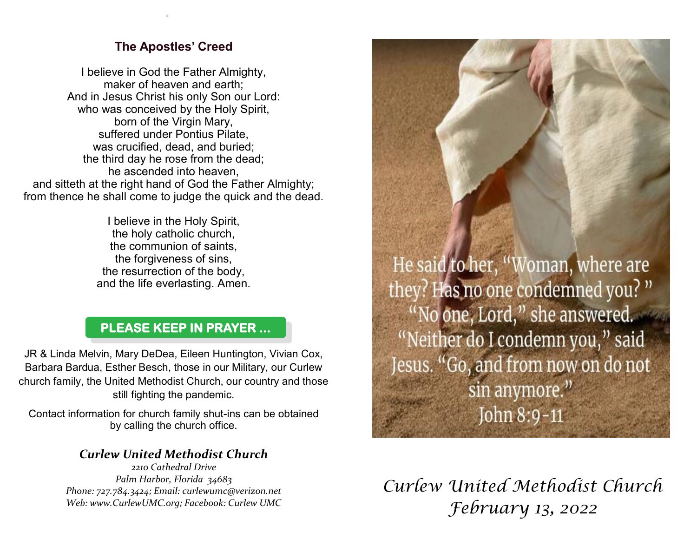## **The Apostles' Creed**

.

I believe in God the Father Almighty, maker of heaven and earth; And in Jesus Christ his only Son our Lord: who was conceived by the Holy Spirit, born of the Virgin Mary, suffered under Pontius Pilate, was crucified, dead, and buried; the third day he rose from the dead; he ascended into heaven, and sitteth at the right hand of God the Father Almighty; from thence he shall come to judge the quick and the dead.

> I believe in the Holy Spirit, the holy catholic church, the communion of saints, the forgiveness of sins, the resurrection of the body, and the life everlasting. Amen.

## **PLEASE KEEP IN PRAYER ...**

JR & Linda Melvin, Mary DeDea, Eileen Huntington, Vivian Cox, Barbara Bardua, Esther Besch, those in our Military, our Curlew church family, the United Methodist Church, our country and those still fighting the pandemic.

Contact information for church family shut-ins can be obtained by calling the church office.

## *Curlew United Methodist Church*

*2210 Cathedral Drive Palm Harbor, Florida 34683 Phone: 727.784.3424; Email: curlewumc@verizon.net Web: www.CurlewUMC.org; Facebook: Curlew UMC*

He said to her, "Woman, where are they? Has no one condemned you?" "No one, Lord," she answered. "Neither do I condemn you," said Jesus. "Go, and from now on do not sin anymore." John 8:9-11

*Curlew United Methodist Church February 13, 2022*